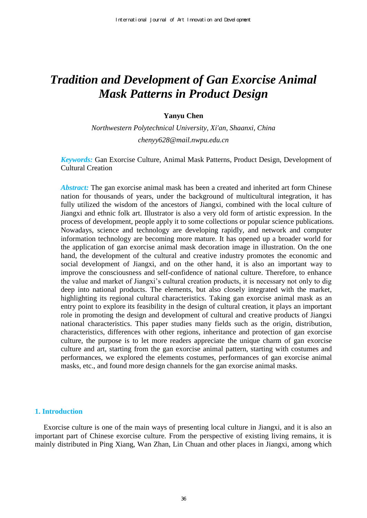# *Tradition and Development of [Gan](https://fanyi.sogou.com/?keyword=Gan&fr=websearch_submit&from=en&to=zh-CHS) Exorcise Animal Mask Patterns in Product Design*

## **Yanyu Chen**

*Northwestern Polytechnical University, Xi'an, Shaanxi, China chenyy628@mail.nwpu.edu.cn* 

*Keywords:* [Gan](https://fanyi.sogou.com/?keyword=Gan&fr=websearch_submit&from=en&to=zh-CHS) Exorcise Culture, Animal Mask Patterns, Product Design, Development of Cultural Creation

*Abstract:* The [gan](https://fanyi.sogou.com/?keyword=Gan&fr=websearch_submit&from=en&to=zh-CHS) exorcise animal mask has been a created and inherited art form Chinese nation for thousands of years, under the background of multicultural integration, it has fully utilized the wisdom of the ancestors of Jiangxi, combined with the local culture of Jiangxi and ethnic folk art. Illustrator is also a very old form of artistic expression. In the process of development, people apply it to some collections or popular science publications. Nowadays, science and technology are developing rapidly, and network and computer information technology are becoming more mature. It has opened up a broader world for the application of [gan](https://fanyi.sogou.com/?keyword=Gan&fr=websearch_submit&from=en&to=zh-CHS) exorcise animal mask decoration image in illustration. On the one hand, the development of the cultural and creative industry promotes the economic and social development of Jiangxi, and on the other hand, it is also an important way to improve the consciousness and self-confidence of national culture. Therefore, to enhance the value and market of Jiangxi's cultural creation products, it is necessary not only to dig deep into national products. The elements, but also closely integrated with the market, highlighting its regional cultural characteristics. Taking [gan](https://fanyi.sogou.com/?keyword=Gan&fr=websearch_submit&from=en&to=zh-CHS) exorcise animal mask as an entry point to explore its feasibility in the design of cultural creation, it plays an important role in promoting the design and development of cultural and creative products of Jiangxi national characteristics. This paper studies many fields such as the origin, distribution, characteristics, differences with other regions, inheritance and protection of [gan](https://fanyi.sogou.com/?keyword=Gan&fr=websearch_submit&from=en&to=zh-CHS) exorcise culture, the purpose is to let more readers appreciate the unique charm of [gan](https://fanyi.sogou.com/?keyword=Gan&fr=websearch_submit&from=en&to=zh-CHS) exorcise culture and art, starting from the [gan](https://fanyi.sogou.com/?keyword=Gan&fr=websearch_submit&from=en&to=zh-CHS) exorcise animal pattern, starting with costumes and performances, we explored the elements costumes, performances of [gan](https://fanyi.sogou.com/?keyword=Gan&fr=websearch_submit&from=en&to=zh-CHS) exorcise animal masks, etc., and found more design channels for the [gan](https://fanyi.sogou.com/?keyword=Gan&fr=websearch_submit&from=en&to=zh-CHS) exorcise animal masks.

## **1. Introduction**

Exorcise culture is one of the main ways of presenting local culture in Jiangxi, and it is also an important part of Chinese exorcise culture. From the perspective of existing living remains, it is mainly distributed in Ping Xiang, Wan Zhan, Lin Chuan and other places in Jiangxi, among which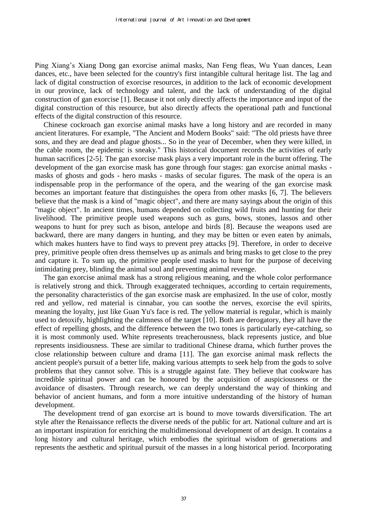Ping Xiang's Xiang Dong [gan](https://fanyi.sogou.com/?keyword=Gan&fr=websearch_submit&from=en&to=zh-CHS) exorcise animal masks, Nan Feng fleas, Wu Yuan dances, Lean dances, etc., have been selected for the country's first intangible cultural heritage list. The lag and lack of digital construction of exorcise resources, in addition to the lack of economic development in our province, lack of technology and talent, and the lack of understanding of the digital construction of [gan](https://fanyi.sogou.com/?keyword=Gan&fr=websearch_submit&from=en&to=zh-CHS) exorcise [1]. Because it not only directly affects the importance and input of the digital construction of this resource, but also directly affects the operational path and functional effects of the digital construction of this resource.

Chinese cockroach [gan](https://fanyi.sogou.com/?keyword=Gan&fr=websearch_submit&from=en&to=zh-CHS) exorcise animal masks have a long history and are recorded in many ancient literatures. For example, "The Ancient and Modern Books" said: "The old priests have three sons, and they are dead and plague ghosts... So in the year of December, when they were killed, in the cable room, the epidemic is sneaky." This historical document records the activities of early human sacrifices [2-5]. The [gan](https://fanyi.sogou.com/?keyword=Gan&fr=websearch_submit&from=en&to=zh-CHS) exorcise mask plays a very important role in the burnt offering. The development of the [gan](https://fanyi.sogou.com/?keyword=Gan&fr=websearch_submit&from=en&to=zh-CHS) exorcise mask has gone through four stages: [gan](https://fanyi.sogou.com/?keyword=Gan&fr=websearch_submit&from=en&to=zh-CHS) exorcise animal masks masks of ghosts and gods - hero masks - masks of secular figures. The mask of the opera is an indispensable prop in the performance of the opera, and the wearing of the [gan](https://fanyi.sogou.com/?keyword=Gan&fr=websearch_submit&from=en&to=zh-CHS) exorcise mask becomes an important feature that distinguishes the opera from other masks [6, 7]. The believers believe that the mask is a kind of "magic object", and there are many sayings about the origin of this "magic object". In ancient times, humans depended on collecting wild fruits and hunting for their livelihood. The primitive people used weapons such as guns, bows, stones, lassos and other weapons to hunt for prey such as bison, antelope and birds [8]. Because the weapons used are backward, there are many dangers in hunting, and they may be bitten or even eaten by animals, which makes hunters have to find ways to prevent prey attacks [9]. Therefore, in order to deceive prey, primitive people often dress themselves up as animals and bring masks to get close to the prey and capture it. To sum up, the primitive people used masks to hunt for the purpose of deceiving intimidating prey, blinding the animal soul and preventing animal revenge.

The [gan](https://fanyi.sogou.com/?keyword=Gan&fr=websearch_submit&from=en&to=zh-CHS) exorcise animal mask has a strong religious meaning, and the whole color performance is relatively strong and thick. Through exaggerated techniques, according to certain requirements, the personality characteristics of the [gan](https://fanyi.sogou.com/?keyword=Gan&fr=websearch_submit&from=en&to=zh-CHS) exorcise mask are emphasized. In the use of color, mostly red and yellow, red material is cinnabar, you can soothe the nerves, exorcise the evil spirits, meaning the loyalty, just like Guan Yu's face is red. The yellow material is regular, which is mainly used to detoxify, highlighting the calmness of the target [10]. Both are derogatory, they all have the effect of repelling ghosts, and the difference between the two tones is particularly eye-catching, so it is most commonly used. White represents treacherousness, black represents justice, and blue represents insidiousness. These are similar to traditional Chinese drama, which further proves the close relationship between culture and drama [11]. The [gan](https://fanyi.sogou.com/?keyword=Gan&fr=websearch_submit&from=en&to=zh-CHS) exorcise animal mask reflects the ancient people's pursuit of a better life, making various attempts to seek help from the gods to solve problems that they cannot solve. This is a struggle against fate. They believe that cookware has incredible spiritual power and can be honoured by the acquisition of auspiciousness or the avoidance of disasters. Through research, we can deeply understand the way of thinking and behavior of ancient humans, and form a more intuitive understanding of the history of human development.

The development trend of [gan](https://fanyi.sogou.com/?keyword=Gan&fr=websearch_submit&from=en&to=zh-CHS) exorcise art is bound to move towards diversification. The art style after the Renaissance reflects the diverse needs of the public for art. National culture and art is an important inspiration for enriching the multidimensional development of art design. It contains a long history and cultural heritage, which embodies the spiritual wisdom of generations and represents the aesthetic and spiritual pursuit of the masses in a long historical period. Incorporating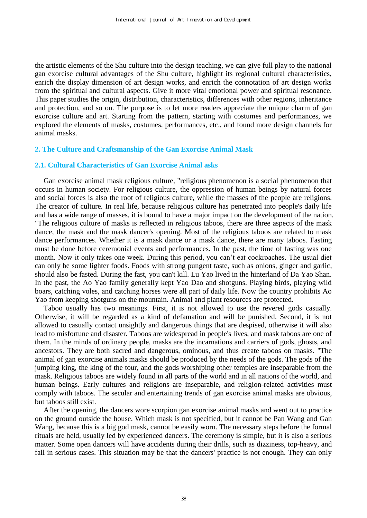the artistic elements of the Shu culture into the design teaching, we can give full play to the national [gan](https://fanyi.sogou.com/?keyword=Gan&fr=websearch_submit&from=en&to=zh-CHS) exorcise cultural advantages of the Shu culture, highlight its regional cultural characteristics, enrich the display dimension of art design works, and enrich the connotation of art design works from the spiritual and cultural aspects. Give it more vital emotional power and spiritual resonance. This paper studies the origin, distribution, characteristics, differences with other regions, inheritance and protection, and so on. The purpose is to let more readers appreciate the unique charm of [gan](https://fanyi.sogou.com/?keyword=Gan&fr=websearch_submit&from=en&to=zh-CHS) exorcise culture and art. Starting from the pattern, starting with costumes and performances, we explored the elements of masks, costumes, performances, etc., and found more design channels for animal masks.

#### **2. The Culture and Craftsmanship of the [Gan](https://fanyi.sogou.com/?keyword=Gan&fr=websearch_submit&from=en&to=zh-CHS) Exorcise Animal Mask**

## **2.1. Cultural Characteristics of [Gan](https://fanyi.sogou.com/?keyword=Gan&fr=websearch_submit&from=en&to=zh-CHS) Exorcise Animal asks**

[Gan](https://fanyi.sogou.com/?keyword=Gan&fr=websearch_submit&from=en&to=zh-CHS) exorcise animal mask religious culture, "religious phenomenon is a social phenomenon that occurs in human society. For religious culture, the oppression of human beings by natural forces and social forces is also the root of religious culture, while the masses of the people are religions. The creator of culture. In real life, because religious culture has penetrated into people's daily life and has a wide range of masses, it is bound to have a major impact on the development of the nation. "The religious culture of masks is reflected in religious taboos, there are three aspects of the mask dance, the mask and the mask dancer's opening. Most of the religious taboos are related to mask dance performances. Whether it is a mask dance or a mask dance, there are many taboos. Fasting must be done before ceremonial events and performances. In the past, the time of fasting was one month. Now it only takes one week. During this period, you can't eat cockroaches. The usual diet can only be some lighter foods. Foods with strong pungent taste, such as onions, ginger and garlic, should also be fasted. During the fast, you can't kill. Lu Yao lived in the hinterland of Da Yao Shan. In the past, the Ao Yao family generally kept Yao Dao and shotguns. Playing birds, playing wild boars, catching voles, and catching horses were all part of daily life. Now the country prohibits Ao Yao from keeping shotguns on the mountain. Animal and plant resources are protected.

Taboo usually has two meanings. First, it is not allowed to use the revered gods casually. Otherwise, it will be regarded as a kind of defamation and will be punished. Second, it is not allowed to casually contact unsightly and dangerous things that are despised, otherwise it will also lead to misfortune and disaster. Taboos are widespread in people's lives, and mask taboos are one of them. In the minds of ordinary people, masks are the incarnations and carriers of gods, ghosts, and ancestors. They are both sacred and dangerous, ominous, and thus create taboos on masks. "The animal of [gan](https://fanyi.sogou.com/?keyword=Gan&fr=websearch_submit&from=en&to=zh-CHS) exorcise animals masks should be produced by the needs of the gods. The gods of the jumping king, the king of the tour, and the gods worshiping other temples are inseparable from the mask. Religious taboos are widely found in all parts of the world and in all nations of the world, and human beings. Early cultures and religions are inseparable, and religion-related activities must comply with taboos. The secular and entertaining trends of [gan](https://fanyi.sogou.com/?keyword=Gan&fr=websearch_submit&from=en&to=zh-CHS) exorcise animal masks are obvious, but taboos still exist.

After the opening, the dancers wore scorpion [gan](https://fanyi.sogou.com/?keyword=Gan&fr=websearch_submit&from=en&to=zh-CHS) exorcise animal masks and went out to practice on the ground outside the house. Which mask is not specified, but it cannot be Pan Wang and Gan Wang, because this is a big god mask, cannot be easily worn. The necessary steps before the formal rituals are held, usually led by experienced dancers. The ceremony is simple, but it is also a serious matter. Some open dancers will have accidents during their drills, such as dizziness, top-heavy, and fall in serious cases. This situation may be that the dancers' practice is not enough. They can only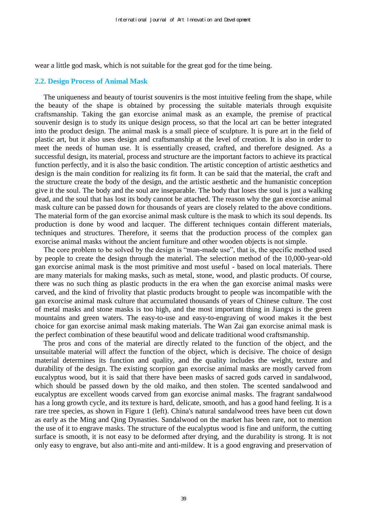wear a little god mask, which is not suitable for the great god for the time being.

#### **2.2. Design Process of Animal Mask**

The uniqueness and beauty of tourist souvenirs is the most intuitive feeling from the shape, while the beauty of the shape is obtained by processing the suitable materials through exquisite craftsmanship. Taking the [gan](https://fanyi.sogou.com/?keyword=Gan&fr=websearch_submit&from=en&to=zh-CHS) exorcise animal mask as an example, the premise of practical souvenir design is to study its unique design process, so that the local art can be better integrated into the product design. The animal mask is a small piece of sculpture. It is pure art in the field of plastic art, but it also uses design and craftsmanship at the level of creation. It is also in order to meet the needs of human use. It is essentially creased, crafted, and therefore designed. As a successful design, its material, process and structure are the important factors to achieve its practical function perfectly, and it is also the basic condition. The artistic conception of artistic aesthetics and design is the main condition for realizing its fit form. It can be said that the material, the craft and the structure create the body of the design, and the artistic aesthetic and the humanistic conception give it the soul. The body and the soul are inseparable. The body that loses the soul is just a walking dead, and the soul that has lost its body cannot be attached. The reason why the [gan](https://fanyi.sogou.com/?keyword=Gan&fr=websearch_submit&from=en&to=zh-CHS) exorcise animal mask culture can be passed down for thousands of years are closely related to the above conditions. The material form of the [gan](https://fanyi.sogou.com/?keyword=Gan&fr=websearch_submit&from=en&to=zh-CHS) exorcise animal mask culture is the mask to which its soul depends. Its production is done by wood and lacquer. The different techniques contain different materials, techniques and structures. Therefore, it seems that the production process of the complex [gan](https://fanyi.sogou.com/?keyword=Gan&fr=websearch_submit&from=en&to=zh-CHS)  exorcise animal masks without the ancient furniture and other wooden objects is not simple.

The core problem to be solved by the design is "man-made use", that is, the specific method used by people to create the design through the material. The selection method of the 10,000-year-old [gan](https://fanyi.sogou.com/?keyword=Gan&fr=websearch_submit&from=en&to=zh-CHS) exorcise animal mask is the most primitive and most useful - based on local materials. There are many materials for making masks, such as metal, stone, wood, and plastic products. Of course, there was no such thing as plastic products in the era when the [gan](https://fanyi.sogou.com/?keyword=Gan&fr=websearch_submit&from=en&to=zh-CHS) exorcise animal masks were carved, and the kind of frivolity that plastic products brought to people was incompatible with the [gan](https://fanyi.sogou.com/?keyword=Gan&fr=websearch_submit&from=en&to=zh-CHS) exorcise animal mask culture that accumulated thousands of years of Chinese culture. The cost of metal masks and stone masks is too high, and the most important thing in Jiangxi is the green mountains and green waters. The easy-to-use and easy-to-engraving of wood makes it the best choice for [gan](https://fanyi.sogou.com/?keyword=Gan&fr=websearch_submit&from=en&to=zh-CHS) exorcise animal mask making materials. The Wan Zai [gan](https://fanyi.sogou.com/?keyword=Gan&fr=websearch_submit&from=en&to=zh-CHS) exorcise animal mask is the perfect combination of these beautiful wood and delicate traditional wood craftsmanship.

The pros and cons of the material are directly related to the function of the object, and the unsuitable material will affect the function of the object, which is decisive. The choice of design material determines its function and quality, and the quality includes the weight, texture and durability of the design. The existing scorpion [gan](https://fanyi.sogou.com/?keyword=Gan&fr=websearch_submit&from=en&to=zh-CHS) exorcise animal masks are mostly carved from eucalyptus wood, but it is said that there have been masks of sacred gods carved in sandalwood, which should be passed down by the old maiko, and then stolen. The scented sandalwood and eucalyptus are excellent woods carved from [gan](https://fanyi.sogou.com/?keyword=Gan&fr=websearch_submit&from=en&to=zh-CHS) exorcise animal masks. The fragrant sandalwood has a long growth cycle, and its texture is hard, delicate, smooth, and has a good hand feeling. It is a rare tree species, as shown in Figure 1 (left). China's natural sandalwood trees have been cut down as early as the Ming and Qing Dynasties. Sandalwood on the market has been rare, not to mention the use of it to engrave masks. The structure of the eucalyptus wood is fine and uniform, the cutting surface is smooth, it is not easy to be deformed after drying, and the durability is strong. It is not only easy to engrave, but also anti-mite and anti-mildew. It is a good engraving and preservation of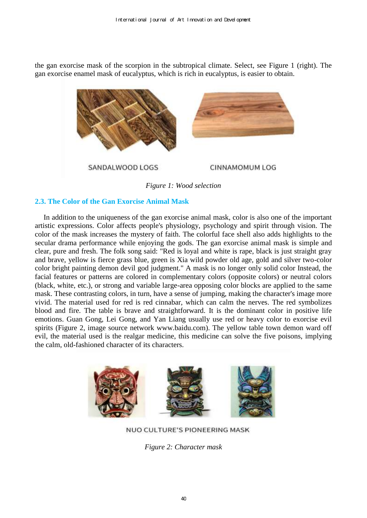the [gan](https://fanyi.sogou.com/?keyword=Gan&fr=websearch_submit&from=en&to=zh-CHS) exorcise mask of the scorpion in the subtropical climate. Select, see Figure 1 (right). The [gan](https://fanyi.sogou.com/?keyword=Gan&fr=websearch_submit&from=en&to=zh-CHS) exorcise enamel mask of eucalyptus, which is rich in eucalyptus, is easier to obtain.



*Figure 1: Wood selection* 

# **2.3. The Color of the [Gan](https://fanyi.sogou.com/?keyword=Gan&fr=websearch_submit&from=en&to=zh-CHS) Exorcise Animal Mask**

In addition to the uniqueness of the [gan](https://fanyi.sogou.com/?keyword=Gan&fr=websearch_submit&from=en&to=zh-CHS) exorcise animal mask, color is also one of the important artistic expressions. Color affects people's physiology, psychology and spirit through vision. The color of the mask increases the mystery of faith. The colorful face shell also adds highlights to the secular drama performance while enjoying the gods. The [gan](https://fanyi.sogou.com/?keyword=Gan&fr=websearch_submit&from=en&to=zh-CHS) exorcise animal mask is simple and clear, pure and fresh. The folk song said: "Red is loyal and white is rape, black is just straight gray and brave, yellow is fierce grass blue, green is Xia wild powder old age, gold and silver two-color color bright painting demon devil god judgment." A mask is no longer only solid color Instead, the facial features or patterns are colored in complementary colors (opposite colors) or neutral colors (black, white, etc.), or strong and variable large-area opposing color blocks are applied to the same mask. These contrasting colors, in turn, have a sense of jumping, making the character's image more vivid. The material used for red is red cinnabar, which can calm the nerves. The red symbolizes blood and fire. The table is brave and straightforward. It is the dominant color in positive life emotions. Guan Gong, Lei Gong, and Yan Liang usually use red or heavy color to exorcise evil spirits (Figure 2, image source network www.baidu.com). The yellow table town demon ward off evil, the material used is the realgar medicine, this medicine can solve the five poisons, implying the calm, old-fashioned character of its characters.



NUO CULTURE'S PIONEERING MASK

*Figure 2: Character mask*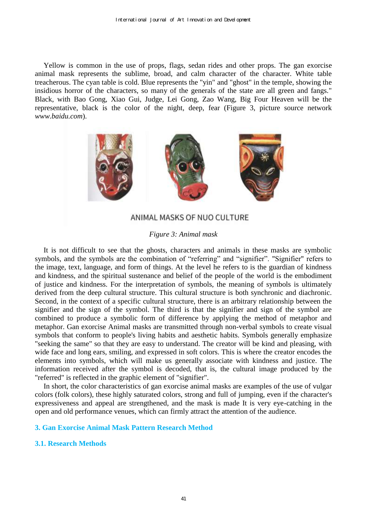Yellow is common in the use of props, flags, sedan rides and other props. The [gan](https://fanyi.sogou.com/?keyword=Gan&fr=websearch_submit&from=en&to=zh-CHS) exorcise animal mask represents the sublime, broad, and calm character of the character. White table treacherous. The cyan table is cold. Blue represents the "yin" and "ghost" in the temple, showing the insidious horror of the characters, so many of the generals of the state are all green and fangs." Black, with Bao Gong, Xiao Gui, Judge, Lei Gong, Zao Wang, Big Four Heaven will be the representative, black is the color of the night, deep, fear (Figure 3, picture source network *[www.baidu.com](http://www.baidu.com/)*).



# ANIMAL MASKS OF NUO CULTURE

# *Figure 3: Animal mask*

It is not difficult to see that the ghosts, characters and animals in these masks are symbolic symbols, and the symbols are the combination of "referring" and "signifier". "Signifier" refers to the image, text, language, and form of things. At the level he refers to is the guardian of kindness and kindness, and the spiritual sustenance and belief of the people of the world is the embodiment of justice and kindness. For the interpretation of symbols, the meaning of symbols is ultimately derived from the deep cultural structure. This cultural structure is both synchronic and diachronic. Second, in the context of a specific cultural structure, there is an arbitrary relationship between the signifier and the sign of the symbol. The third is that the signifier and sign of the symbol are combined to produce a symbolic form of difference by applying the method of metaphor and metaphor. [Gan](https://fanyi.sogou.com/?keyword=Gan&fr=websearch_submit&from=en&to=zh-CHS) exorcise Animal masks are transmitted through non-verbal symbols to create visual symbols that conform to people's living habits and aesthetic habits. Symbols generally emphasize "seeking the same" so that they are easy to understand. The creator will be kind and pleasing, with wide face and long ears, smiling, and expressed in soft colors. This is where the creator encodes the elements into symbols, which will make us generally associate with kindness and justice. The information received after the symbol is decoded, that is, the cultural image produced by the "referred" is reflected in the graphic element of "signifier".

In short, the color characteristics of [gan](https://fanyi.sogou.com/?keyword=Gan&fr=websearch_submit&from=en&to=zh-CHS) exorcise animal masks are examples of the use of vulgar colors (folk colors), these highly saturated colors, strong and full of jumping, even if the character's expressiveness and appeal are strengthened, and the mask is made It is very eye-catching in the open and old performance venues, which can firmly attract the attention of the audience.

## **3. [Gan](https://fanyi.sogou.com/?keyword=Gan&fr=websearch_submit&from=en&to=zh-CHS) Exorcise Animal Mask Pattern Research Method**

## **3.1. Research Methods**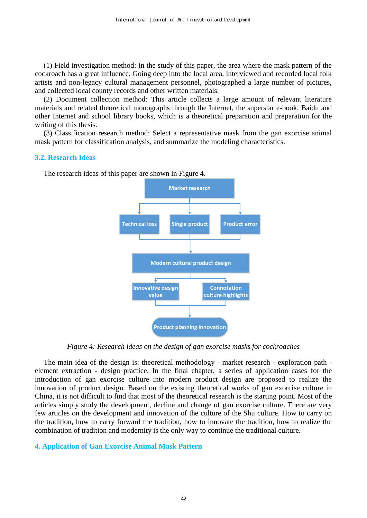(1) Field investigation method: In the study of this paper, the area where the mask pattern of the cockroach has a great influence. Going deep into the local area, interviewed and recorded local folk artists and non-legacy cultural management personnel, photographed a large number of pictures, and collected local county records and other written materials.

(2) Document collection method: This article collects a large amount of relevant literature materials and related theoretical monographs through the Internet, the superstar e-book, Baidu and other Internet and school library books, which is a theoretical preparation and preparation for the writing of this thesis.

(3) Classification research method: Select a representative mask from the [gan](https://fanyi.sogou.com/?keyword=Gan&fr=websearch_submit&from=en&to=zh-CHS) exorcise animal mask pattern for classification analysis, and summarize the modeling characteristics.

#### **3.2. Research Ideas**

The research ideas of this paper are shown in Figure 4.



*Figure 4: Research ideas on the design of [gan](https://fanyi.sogou.com/?keyword=Gan&fr=websearch_submit&from=en&to=zh-CHS) exorcise masks for cockroaches* 

The main idea of the design is: theoretical methodology - market research - exploration path element extraction - design practice. In the final chapter, a series of application cases for the introduction of [gan](https://fanyi.sogou.com/?keyword=Gan&fr=websearch_submit&from=en&to=zh-CHS) exorcise culture into modern product design are proposed to realize the innovation of product design. Based on the existing theoretical works of [gan](https://fanyi.sogou.com/?keyword=Gan&fr=websearch_submit&from=en&to=zh-CHS) exorcise culture in China, it is not difficult to find that most of the theoretical research is the starting point. Most of the articles simply study the development, decline and change of [gan](https://fanyi.sogou.com/?keyword=Gan&fr=websearch_submit&from=en&to=zh-CHS) exorcise culture. There are very few articles on the development and innovation of the culture of the Shu culture. How to carry on the tradition, how to carry forward the tradition, how to innovate the tradition, how to realize the combination of tradition and modernity is the only way to continue the traditional culture.

## **4. Application of [Gan](https://fanyi.sogou.com/?keyword=Gan&fr=websearch_submit&from=en&to=zh-CHS) Exorcise Animal Mask Pattern**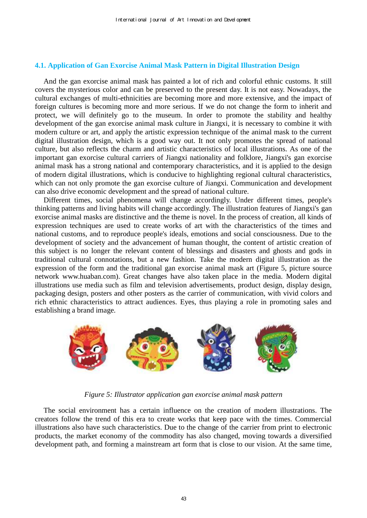## **4.1. Application of [Gan](https://fanyi.sogou.com/?keyword=Gan&fr=websearch_submit&from=en&to=zh-CHS) Exorcise Animal Mask Pattern in Digital Illustration Design**

And the [gan](https://fanyi.sogou.com/?keyword=Gan&fr=websearch_submit&from=en&to=zh-CHS) exorcise animal mask has painted a lot of rich and colorful ethnic customs. It still covers the mysterious color and can be preserved to the present day. It is not easy. Nowadays, the cultural exchanges of multi-ethnicities are becoming more and more extensive, and the impact of foreign cultures is becoming more and more serious. If we do not change the form to inherit and protect, we will definitely go to the museum. In order to promote the stability and healthy development of the [gan](https://fanyi.sogou.com/?keyword=Gan&fr=websearch_submit&from=en&to=zh-CHS) exorcise animal mask culture in Jiangxi, it is necessary to combine it with modern culture or art, and apply the artistic expression technique of the animal mask to the current digital illustration design, which is a good way out. It not only promotes the spread of national culture, but also reflects the charm and artistic characteristics of local illustrations. As one of the important [gan](https://fanyi.sogou.com/?keyword=Gan&fr=websearch_submit&from=en&to=zh-CHS) exorcise cultural carriers of Jiangxi nationality and folklore, Jiangxi's [gan](https://fanyi.sogou.com/?keyword=Gan&fr=websearch_submit&from=en&to=zh-CHS) exorcise animal mask has a strong national and contemporary characteristics, and it is applied to the design of modern digital illustrations, which is conducive to highlighting regional cultural characteristics, which can not only promote the [gan](https://fanyi.sogou.com/?keyword=Gan&fr=websearch_submit&from=en&to=zh-CHS) exorcise culture of Jiangxi. Communication and development can also drive economic development and the spread of national culture.

Different times, social phenomena will change accordingly. Under different times, people's thinking patterns and living habits will change accordingly. The illustration features of Jiangxi's [gan](https://fanyi.sogou.com/?keyword=Gan&fr=websearch_submit&from=en&to=zh-CHS)  exorcise animal masks are distinctive and the theme is novel. In the process of creation, all kinds of expression techniques are used to create works of art with the characteristics of the times and national customs, and to reproduce people's ideals, emotions and social consciousness. Due to the development of society and the advancement of human thought, the content of artistic creation of this subject is no longer the relevant content of blessings and disasters and ghosts and gods in traditional cultural connotations, but a new fashion. Take the modern digital illustration as the expression of the form and the traditional [gan](https://fanyi.sogou.com/?keyword=Gan&fr=websearch_submit&from=en&to=zh-CHS) exorcise animal mask art (Figure 5, picture source network www.huaban.com). Great changes have also taken place in the media. Modern digital illustrations use media such as film and television advertisements, product design, display design, packaging design, posters and other posters as the carrier of communication, with vivid colors and rich ethnic characteristics to attract audiences. Eyes, thus playing a role in promoting sales and establishing a brand image.



*Figure 5: Illustrator application [gan](https://fanyi.sogou.com/?keyword=Gan&fr=websearch_submit&from=en&to=zh-CHS) exorcise animal mask pattern* 

The social environment has a certain influence on the creation of modern illustrations. The creators follow the trend of this era to create works that keep pace with the times. Commercial illustrations also have such characteristics. Due to the change of the carrier from print to electronic products, the market economy of the commodity has also changed, moving towards a diversified development path, and forming a mainstream art form that is close to our vision. At the same time,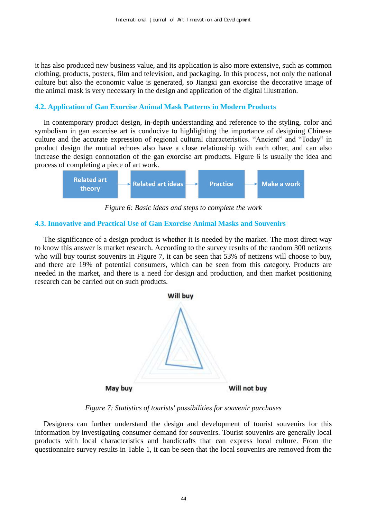it has also produced new business value, and its application is also more extensive, such as common clothing, products, posters, film and television, and packaging. In this process, not only the national culture but also the economic value is generated, so Jiangxi [gan](https://fanyi.sogou.com/?keyword=Gan&fr=websearch_submit&from=en&to=zh-CHS) exorcise the decorative image of the animal mask is very necessary in the design and application of the digital illustration.

## **4.2. Application of [Gan](https://fanyi.sogou.com/?keyword=Gan&fr=websearch_submit&from=en&to=zh-CHS) Exorcise Animal Mask Patterns in Modern Products**

In contemporary product design, in-depth understanding and reference to the styling, color and symbolism in [gan](https://fanyi.sogou.com/?keyword=Gan&fr=websearch_submit&from=en&to=zh-CHS) exorcise art is conducive to highlighting the importance of designing Chinese culture and the accurate expression of regional cultural characteristics. "Ancient" and "Today" in product design the mutual echoes also have a close relationship with each other, and can also increase the design connotation of the [gan](https://fanyi.sogou.com/?keyword=Gan&fr=websearch_submit&from=en&to=zh-CHS) exorcise art products. Figure 6 is usually the idea and process of completing a piece of art work.



*Figure 6: Basic ideas and steps to complete the work* 

#### **4.3. Innovative and Practical Use of [Gan](https://fanyi.sogou.com/?keyword=Gan&fr=websearch_submit&from=en&to=zh-CHS) Exorcise Animal Masks and Souvenirs**

The significance of a design product is whether it is needed by the market. The most direct way to know this answer is market research. According to the survey results of the random 300 netizens who will buy tourist souvenirs in Figure 7, it can be seen that 53% of netizens will choose to buy, and there are 19% of potential consumers, which can be seen from this category. Products are needed in the market, and there is a need for design and production, and then market positioning research can be carried out on such products.



*Figure 7: Statistics of tourists' possibilities for souvenir purchases* 

Designers can further understand the design and development of tourist souvenirs for this information by investigating consumer demand for souvenirs. Tourist souvenirs are generally local products with local characteristics and handicrafts that can express local culture. From the questionnaire survey results in Table 1, it can be seen that the local souvenirs are removed from the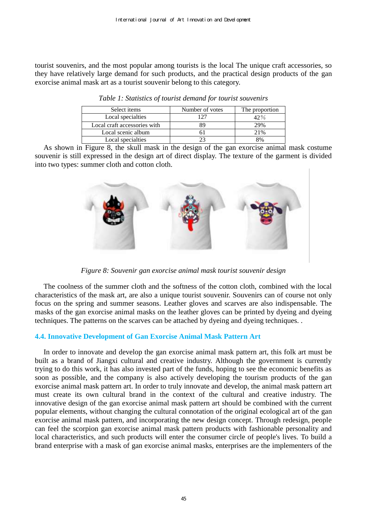tourist souvenirs, and the most popular among tourists is the local The unique craft accessories, so they have relatively large demand for such products, and the practical design products of the [gan](https://fanyi.sogou.com/?keyword=Gan&fr=websearch_submit&from=en&to=zh-CHS)  exorcise animal mask art as a tourist souvenir belong to this category.

| Select items                 | Number of votes | The proportion |
|------------------------------|-----------------|----------------|
| Local specialties            | 127             | $42\%$         |
| Local craft accessories with | 89              | 29%            |
| Local scenic album           |                 | 21%            |
| Local specialties            | 23              |                |

*Table 1: Statistics of tourist demand for tourist souvenirs* 

As shown in Figure 8, the skull mask in the design of the [gan](https://fanyi.sogou.com/?keyword=Gan&fr=websearch_submit&from=en&to=zh-CHS) exorcise animal mask costume souvenir is still expressed in the design art of direct display. The texture of the garment is divided into two types: summer cloth and cotton cloth.



*Figure 8: Souvenir [gan](https://fanyi.sogou.com/?keyword=Gan&fr=websearch_submit&from=en&to=zh-CHS) exorcise animal mask tourist souvenir design*

The coolness of the summer cloth and the softness of the cotton cloth, combined with the local characteristics of the mask art, are also a unique tourist souvenir. Souvenirs can of course not only focus on the spring and summer seasons. Leather gloves and scarves are also indispensable. The masks of the [gan](https://fanyi.sogou.com/?keyword=Gan&fr=websearch_submit&from=en&to=zh-CHS) exorcise animal masks on the leather gloves can be printed by dyeing and dyeing techniques. The patterns on the scarves can be attached by dyeing and dyeing techniques. .

# **4.4. Innovative Development of [Gan](https://fanyi.sogou.com/?keyword=Gan&fr=websearch_submit&from=en&to=zh-CHS) Exorcise Animal Mask Pattern Art**

In order to innovate and develop the [gan](https://fanyi.sogou.com/?keyword=Gan&fr=websearch_submit&from=en&to=zh-CHS) exorcise animal mask pattern art, this folk art must be built as a brand of Jiangxi cultural and creative industry. Although the government is currently trying to do this work, it has also invested part of the funds, hoping to see the economic benefits as soon as possible, and the company is also actively developing the tourism products of the [gan](https://fanyi.sogou.com/?keyword=Gan&fr=websearch_submit&from=en&to=zh-CHS) exorcise animal mask pattern art. In order to truly innovate and develop, the animal mask pattern art must create its own cultural brand in the context of the cultural and creative industry. The innovative design of the [gan](https://fanyi.sogou.com/?keyword=Gan&fr=websearch_submit&from=en&to=zh-CHS) exorcise animal mask pattern art should be combined with the current popular elements, without changing the cultural connotation of the original ecological art of the [gan](https://fanyi.sogou.com/?keyword=Gan&fr=websearch_submit&from=en&to=zh-CHS) exorcise animal mask pattern, and incorporating the new design concept. Through redesign, people can feel the scorpion [gan](https://fanyi.sogou.com/?keyword=Gan&fr=websearch_submit&from=en&to=zh-CHS) exorcise animal mask pattern products with fashionable personality and local characteristics, and such products will enter the consumer circle of people's lives. To build a brand enterprise with a mask of [gan](https://fanyi.sogou.com/?keyword=Gan&fr=websearch_submit&from=en&to=zh-CHS) exorcise animal masks, enterprises are the implementers of the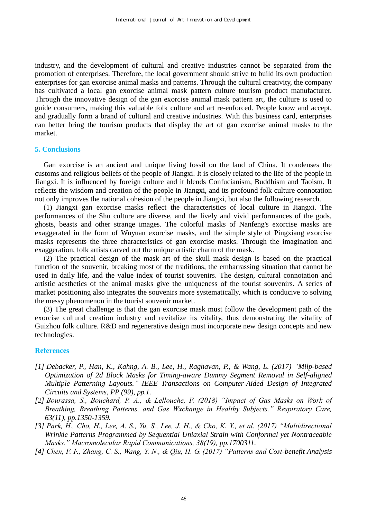industry, and the development of cultural and creative industries cannot be separated from the promotion of enterprises. Therefore, the local government should strive to build its own production enterprises for [gan](https://fanyi.sogou.com/?keyword=Gan&fr=websearch_submit&from=en&to=zh-CHS) exorcise animal masks and patterns. Through the cultural creativity, the company has cultivated a local [gan](https://fanyi.sogou.com/?keyword=Gan&fr=websearch_submit&from=en&to=zh-CHS) exorcise animal mask pattern culture tourism product manufacturer. Through the innovative design of the [gan](https://fanyi.sogou.com/?keyword=Gan&fr=websearch_submit&from=en&to=zh-CHS) exorcise animal mask pattern art, the culture is used to guide consumers, making this valuable folk culture and art re-enforced. People know and accept, and gradually form a brand of cultural and creative industries. With this business card, enterprises can better bring the tourism products that display the art of [gan](https://fanyi.sogou.com/?keyword=Gan&fr=websearch_submit&from=en&to=zh-CHS) exorcise animal masks to the market.

#### **5. Conclusions**

[Gan](https://fanyi.sogou.com/?keyword=Gan&fr=websearch_submit&from=en&to=zh-CHS) exorcise is an ancient and unique living fossil on the land of China. It condenses the customs and religious beliefs of the people of Jiangxi. It is closely related to the life of the people in Jiangxi. It is influenced by foreign culture and it blends Confucianism, Buddhism and Taoism. It reflects the wisdom and creation of the people in Jiangxi, and its profound folk culture connotation not only improves the national cohesion of the people in Jiangxi, but also the following research.

(1) Jiangxi [gan](https://fanyi.sogou.com/?keyword=Gan&fr=websearch_submit&from=en&to=zh-CHS) exorcise masks reflect the characteristics of local culture in Jiangxi. The performances of the Shu culture are diverse, and the lively and vivid performances of the gods, ghosts, beasts and other strange images. The colorful masks of Nanfeng's exorcise masks are exaggerated in the form of Wuyuan exorcise masks, and the simple style of Pingxiang exorcise masks represents the three characteristics of [gan](https://fanyi.sogou.com/?keyword=Gan&fr=websearch_submit&from=en&to=zh-CHS) exorcise masks. Through the imagination and exaggeration, folk artists carved out the unique artistic charm of the mask.

(2) The practical design of the mask art of the skull mask design is based on the practical function of the souvenir, breaking most of the traditions, the embarrassing situation that cannot be used in daily life, and the value index of tourist souvenirs. The design, cultural connotation and artistic aesthetics of the animal masks give the uniqueness of the tourist souvenirs. A series of market positioning also integrates the souvenirs more systematically, which is conducive to solving the messy phenomenon in the tourist souvenir market.

(3) The great challenge is that the [gan](https://fanyi.sogou.com/?keyword=Gan&fr=websearch_submit&from=en&to=zh-CHS) exorcise mask must follow the development path of the exorcise cultural creation industry and revitalize its vitality, thus demonstrating the vitality of Guizhou folk culture. R&D and regenerative design must incorporate new design concepts and new technologies.

#### **References**

- *[1] Debacker, P., Han, K., Kahng, A. B., Lee, H., Raghavan, P., & Wang, L. (2017) "Milp-based Optimization of 2d Block Masks for Timing-aware Dummy Segment Removal in Self-aligned Multiple Patterning Layouts." IEEE Transactions on Computer-Aided Design of Integrated Circuits and Systems, PP (99), pp.1.*
- *[2] Bourassa, S., Bouchard, P. A., & Lellouche, F. (2018) "Impact of Gas Masks on Work of Breathing, Breathing Patterns, and Gas Wxchange in Healthy Subjects." Respiratory Care, 63(11), pp.1350-1359.*
- *[3] Park, H., Cho, H., Lee, A. S., Yu, S., Lee, J. H., & Cho, K. Y., et al. (2017) "Multidirectional Wrinkle Patterns Programmed by Sequential Uniaxial Strain with Conformal yet Nontraceable Masks." Macromolecular Rapid Communications, 38(19), pp.1700311.*
- *[4] Chen, F. F., Zhang, C. S., Wang, Y. N., & Qiu, H. G. (2017) "Patterns and Cost-benefit Analysis*